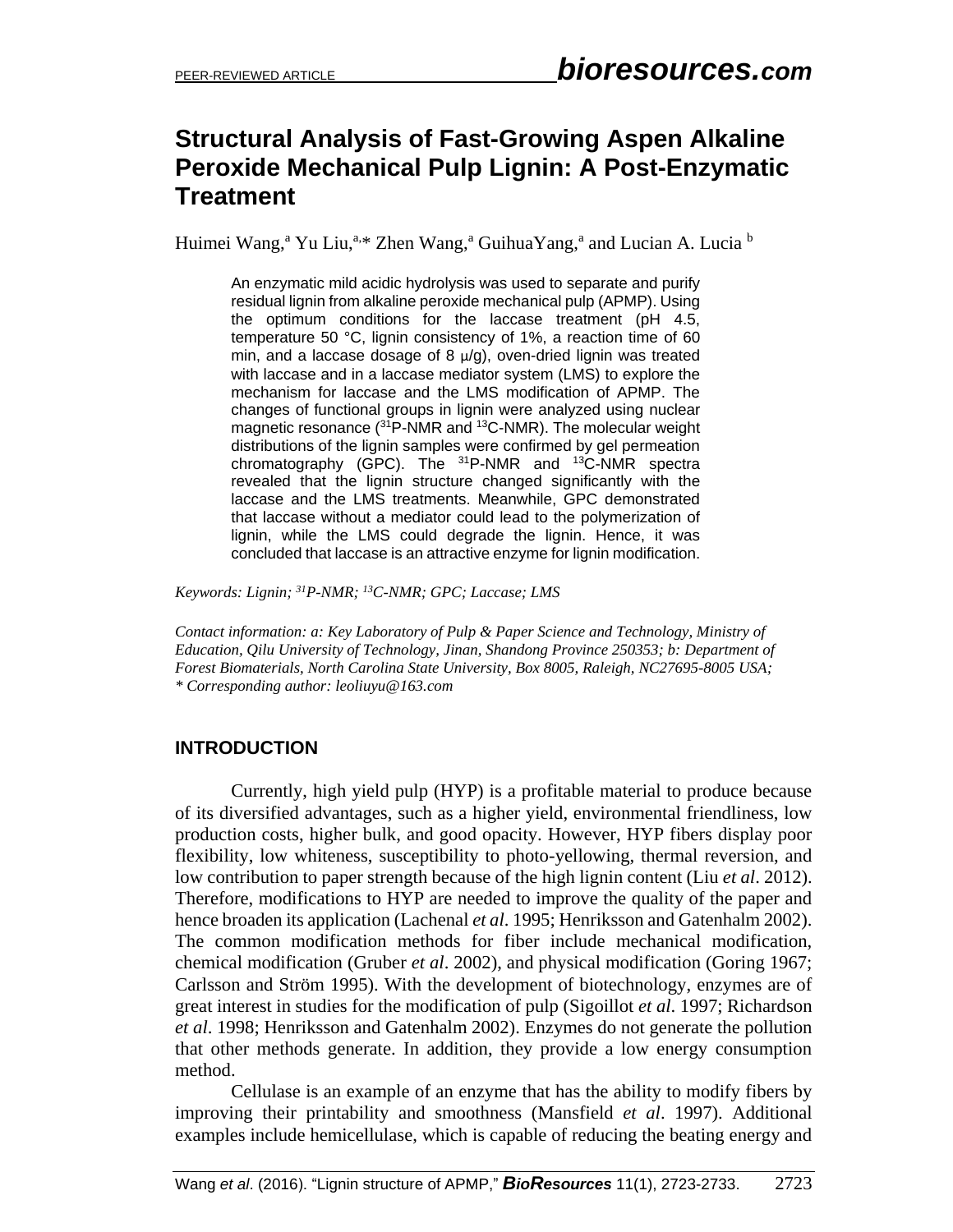## **Structural Analysis of Fast-Growing Aspen Alkaline Peroxide Mechanical Pulp Lignin: A Post-Enzymatic Treatment**

Huimei Wang,<sup>a</sup> Yu Liu,<sup>a,\*</sup> Zhen Wang,<sup>a</sup> GuihuaYang,<sup>a</sup> and Lucian A. Lucia <sup>b</sup>

An enzymatic mild acidic hydrolysis was used to separate and purify residual lignin from alkaline peroxide mechanical pulp (APMP). Using the optimum conditions for the laccase treatment (pH 4.5, temperature 50 °C, lignin consistency of 1%, a reaction time of 60 min, and a laccase dosage of 8  $\mu$ /g), oven-dried lignin was treated with laccase and in a laccase mediator system (LMS) to explore the mechanism for laccase and the LMS modification of APMP. The changes of functional groups in lignin were analyzed using nuclear magnetic resonance  $(^{31}P\text{-NMR}$  and  $^{13}C\text{-NMR}$ ). The molecular weight distributions of the lignin samples were confirmed by gel permeation chromatography (GPC). The  $^{31}P\text{-NMR}$  and  $^{13}C\text{-NMR}$  spectra revealed that the lignin structure changed significantly with the laccase and the LMS treatments. Meanwhile, GPC demonstrated that laccase without a mediator could lead to the polymerization of lignin, while the LMS could degrade the lignin. Hence, it was concluded that laccase is an attractive enzyme for lignin modification.

*Keywords: Lignin; <sup>31</sup>P-NMR; <sup>13</sup>C-NMR; GPC; Laccase; LMS*

*Contact information: a: Key Laboratory of Pulp & Paper Science and Technology, Ministry of Education, Qilu University of Technology, Jinan, Shandong Province 250353; b: Department of Forest Biomaterials, North Carolina State University, Box 8005, Raleigh, NC27695-8005 USA; \* Corresponding author[: leoliuyu@163.com](mailto:leoliuyu@163.com)*

## **INTRODUCTION**

Currently, high yield pulp (HYP) is a profitable material to produce because of its diversified advantages, such as a higher yield, environmental friendliness, low production costs, higher bulk, and good opacity. However, HYP fibers display poor flexibility, low whiteness, susceptibility to photo-yellowing, thermal reversion, and low contribution to paper strength because of the high lignin content (Liu *et al*. 2012). Therefore, modifications to HYP are needed to improve the quality of the paper and hence broaden its application (Lachenal *et al*. 1995; Henriksson and Gatenhalm 2002). The common modification methods for fiber include mechanical modification, chemical modification (Gruber *et al*. 2002), and physical modification (Goring 1967; Carlsson and Ström 1995). With the development of biotechnology, enzymes are of great interest in studies for the modification of pulp (Sigoillot *et al*. 1997; Richardson *et al*. 1998; Henriksson and Gatenhalm 2002). Enzymes do not generate the pollution that other methods generate. In addition, they provide a low energy consumption method.

Cellulase is an example of an enzyme that has the ability to modify fibers by improving their printability and smoothness (Mansfield *et al*. 1997). Additional examples include hemicellulase, which is capable of reducing the beating energy and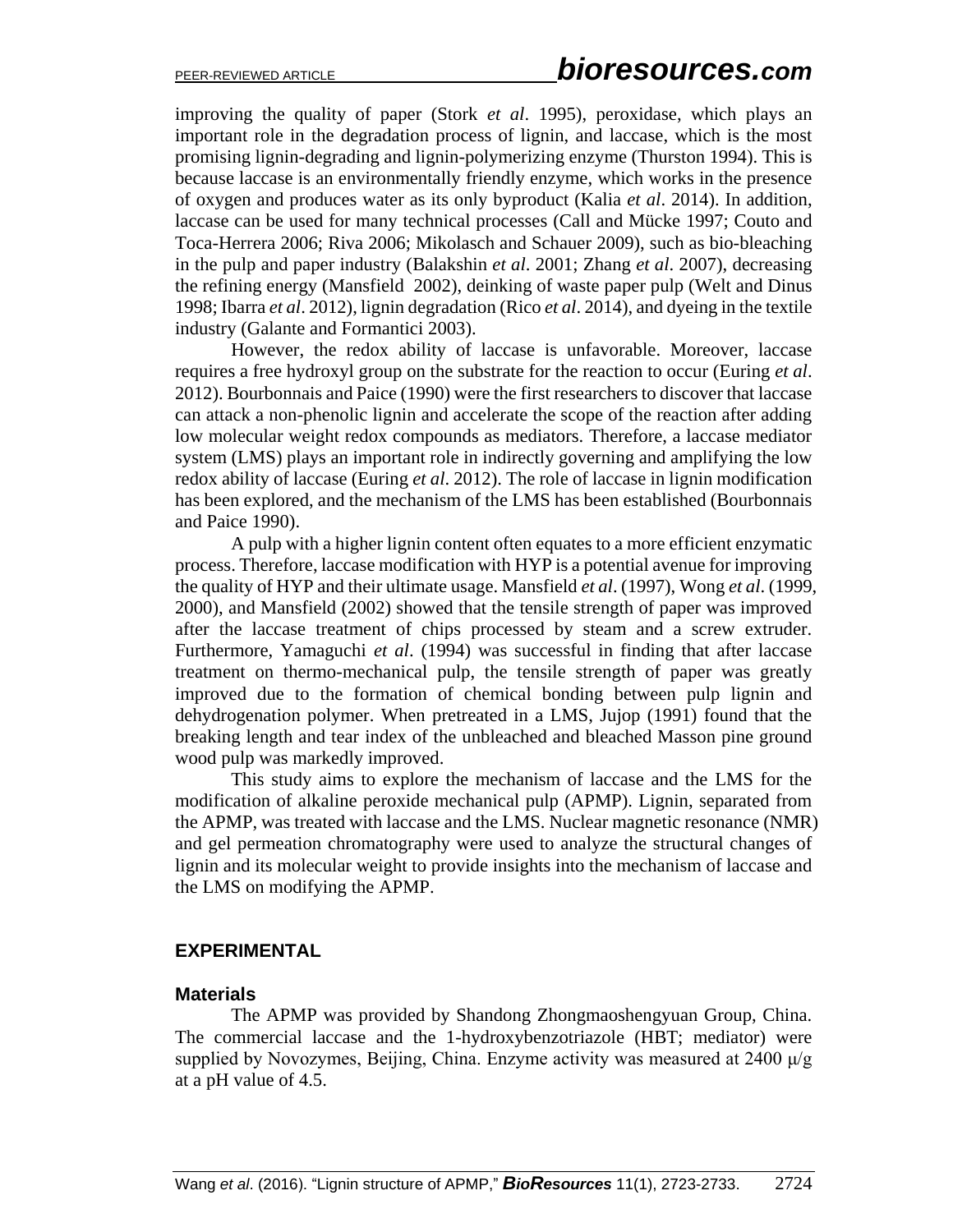improving the quality of paper (Stork *et al*. 1995), peroxidase, which plays an important role in the degradation process of lignin, and laccase, which is the most promising lignin-degrading and lignin-polymerizing enzyme (Thurston 1994). This is because laccase is an environmentally friendly enzyme, which works in the presence of oxygen and produces water as its only byproduct (Kalia *et al*. 2014). In addition, laccase can be used for many technical processes (Call and Mücke 1997; Couto and Toca-Herrera 2006; Riva 2006; Mikolasch and Schauer 2009), such as bio-bleaching in the pulp and paper industry (Balakshin *et al*. 2001; Zhang *et al*. 2007), decreasing the refining energy (Mansfield 2002), deinking of waste paper pulp (Welt and Dinus 1998; Ibarra *et al*. 2012), lignin degradation (Rico *et al*. 2014), and dyeing in the textile industry (Galante and Formantici 2003).

However, the redox ability of laccase is unfavorable. Moreover, laccase requires a free hydroxyl group on the substrate for the reaction to occur (Euring *et al*. 2012). Bourbonnais and Paice (1990) were the first researchers to discover that laccase can attack a non-phenolic lignin and accelerate the scope of the reaction after adding low molecular weight redox compounds as mediators. Therefore, a laccase mediator system (LMS) plays an important role in indirectly governing and amplifying the low redox ability of laccase (Euring *et al*. 2012). The role of laccase in lignin modification has been explored, and the mechanism of the LMS has been established (Bourbonnais and Paice 1990).

A pulp with a higher lignin content often equates to a more efficient enzymatic process. Therefore, laccase modification with HYP is a potential avenue for improving the quality of HYP and their ultimate usage. Mansfield *et al*. (1997), Wong *et al*. (1999, 2000), and Mansfield (2002) showed that the tensile strength of paper was improved after the laccase treatment of chips processed by steam and a screw extruder. Furthermore, Yamaguchi *et al*. (1994) was successful in finding that after laccase treatment on thermo-mechanical pulp, the tensile strength of paper was greatly improved due to the formation of chemical bonding between pulp lignin and dehydrogenation polymer. When pretreated in a LMS, Jujop (1991) found that the breaking length and tear index of the unbleached and bleached Masson pine ground wood pulp was markedly improved.

This study aims to explore the mechanism of laccase and the LMS for the modification of alkaline peroxide mechanical pulp (APMP). Lignin, separated from the APMP, was treated with laccase and the LMS. Nuclear magnetic resonance (NMR) and gel permeation chromatography were used to analyze the structural changes of lignin and its molecular weight to provide insights into the mechanism of laccase and the LMS on modifying the APMP.

#### **EXPERIMENTAL**

#### **Materials**

The APMP was provided by Shandong Zhongmaoshengyuan Group, China. The commercial laccase and the 1-hydroxybenzotriazole (HBT; mediator) were supplied by Novozymes, Beijing, China. Enzyme activity was measured at  $2400 \mu/g$ at a pH value of 4.5.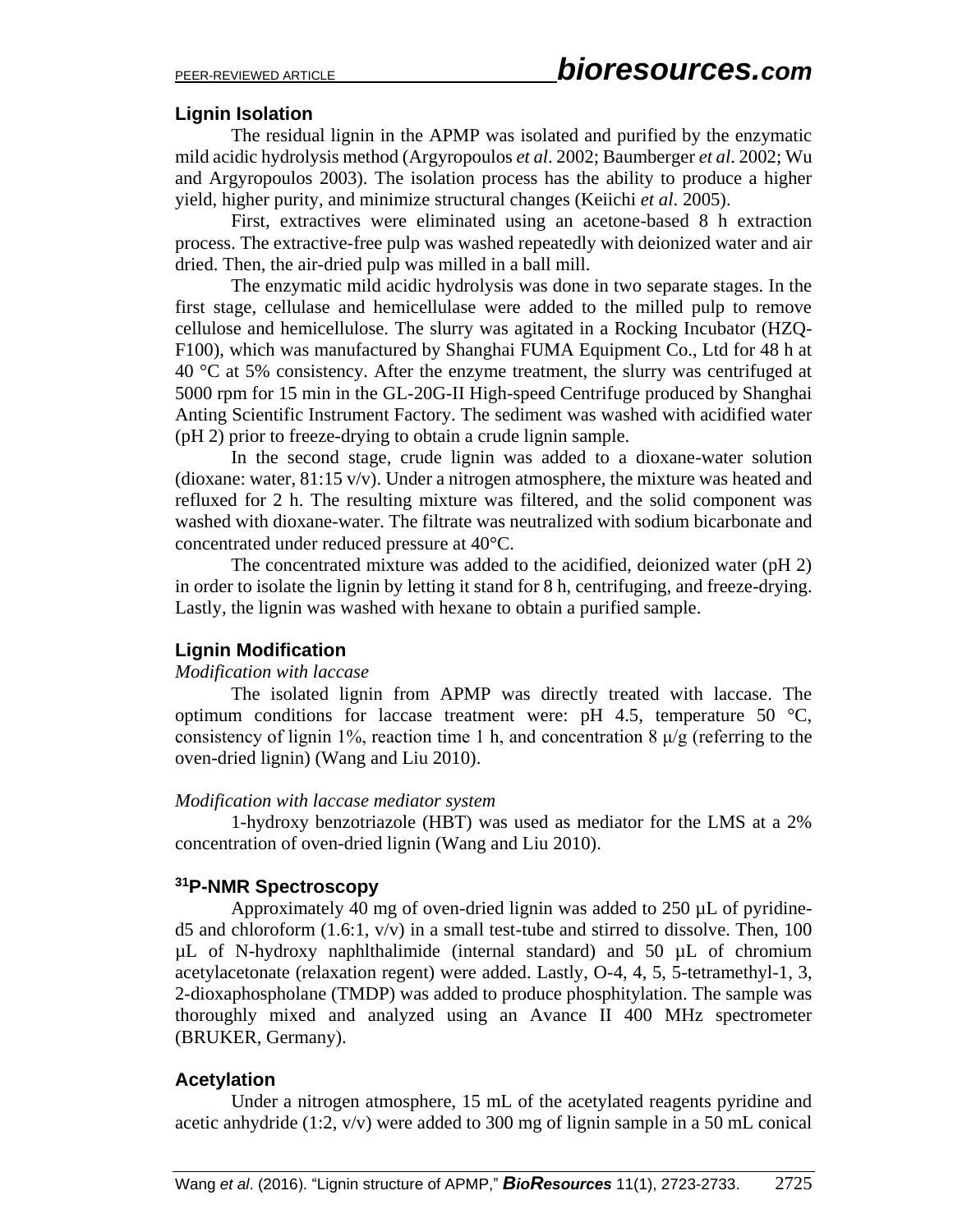#### **Lignin Isolation**

The residual lignin in the APMP was isolated and purified by the enzymatic mild acidic hydrolysis method (Argyropoulos *et al*. 2002; Baumberger *et al*. 2002; Wu and Argyropoulos 2003). The isolation process has the ability to produce a higher yield, higher purity, and minimize structural changes (Keiichi *et al*. 2005).

First, extractives were eliminated using an acetone-based 8 h extraction process. The extractive-free pulp was washed repeatedly with deionized water and air dried. Then, the air-dried pulp was milled in a ball mill.

The enzymatic mild acidic hydrolysis was done in two separate stages. In the first stage, cellulase and hemicellulase were added to the milled pulp to remove cellulose and hemicellulose. The slurry was agitated in a Rocking Incubator (HZQ-F100), which was manufactured by Shanghai FUMA Equipment Co., Ltd for 48 h at 40 °C at 5% consistency. After the enzyme treatment, the slurry was centrifuged at 5000 rpm for 15 min in the GL-20G-II High-speed Centrifuge produced by Shanghai Anting Scientific Instrument Factory. The sediment was washed with acidified water (pH 2) prior to freeze-drying to obtain a crude lignin sample.

In the second stage, crude lignin was added to a dioxane-water solution (dioxane: water, 81:15 v/v). Under a nitrogen atmosphere, the mixture was heated and refluxed for 2 h. The resulting mixture was filtered, and the solid component was washed with dioxane-water. The filtrate was neutralized with sodium bicarbonate and concentrated under reduced pressure at 40°C.

The concentrated mixture was added to the acidified, deionized water (pH 2) in order to isolate the lignin by letting it stand for 8 h, centrifuging, and freeze-drying. Lastly, the lignin was washed with hexane to obtain a purified sample.

#### **Lignin Modification**

#### *Modification with laccase*

The isolated lignin from APMP was directly treated with laccase. The optimum conditions for laccase treatment were: pH 4.5, temperature 50  $^{\circ}$ C, consistency of lignin 1%, reaction time 1 h, and concentration 8  $\mu$ /g (referring to the oven-dried lignin) (Wang and Liu 2010).

#### *Modification with laccase mediator system*

1-hydroxy benzotriazole (HBT) was used as mediator for the LMS at a 2% concentration of oven-dried lignin (Wang and Liu 2010).

## **<sup>31</sup>P-NMR Spectroscopy**

Approximately 40 mg of oven-dried lignin was added to 250 µL of pyridined5 and chloroform  $(1.6:1, v/v)$  in a small test-tube and stirred to dissolve. Then, 100 µL of N-hydroxy naphlthalimide (internal standard) and 50 µL of chromium acetylacetonate (relaxation regent) were added. Lastly, O-4, 4, 5, 5-tetramethyl-1, 3, 2-dioxaphospholane (TMDP) was added to produce phosphitylation. The sample was thoroughly mixed and analyzed using an Avance II 400 MHz spectrometer (BRUKER, Germany).

#### **Acetylation**

Under a nitrogen atmosphere, 15 mL of the acetylated reagents pyridine and acetic anhydride (1:2, v/v) were added to 300 mg of lignin sample in a 50 mL conical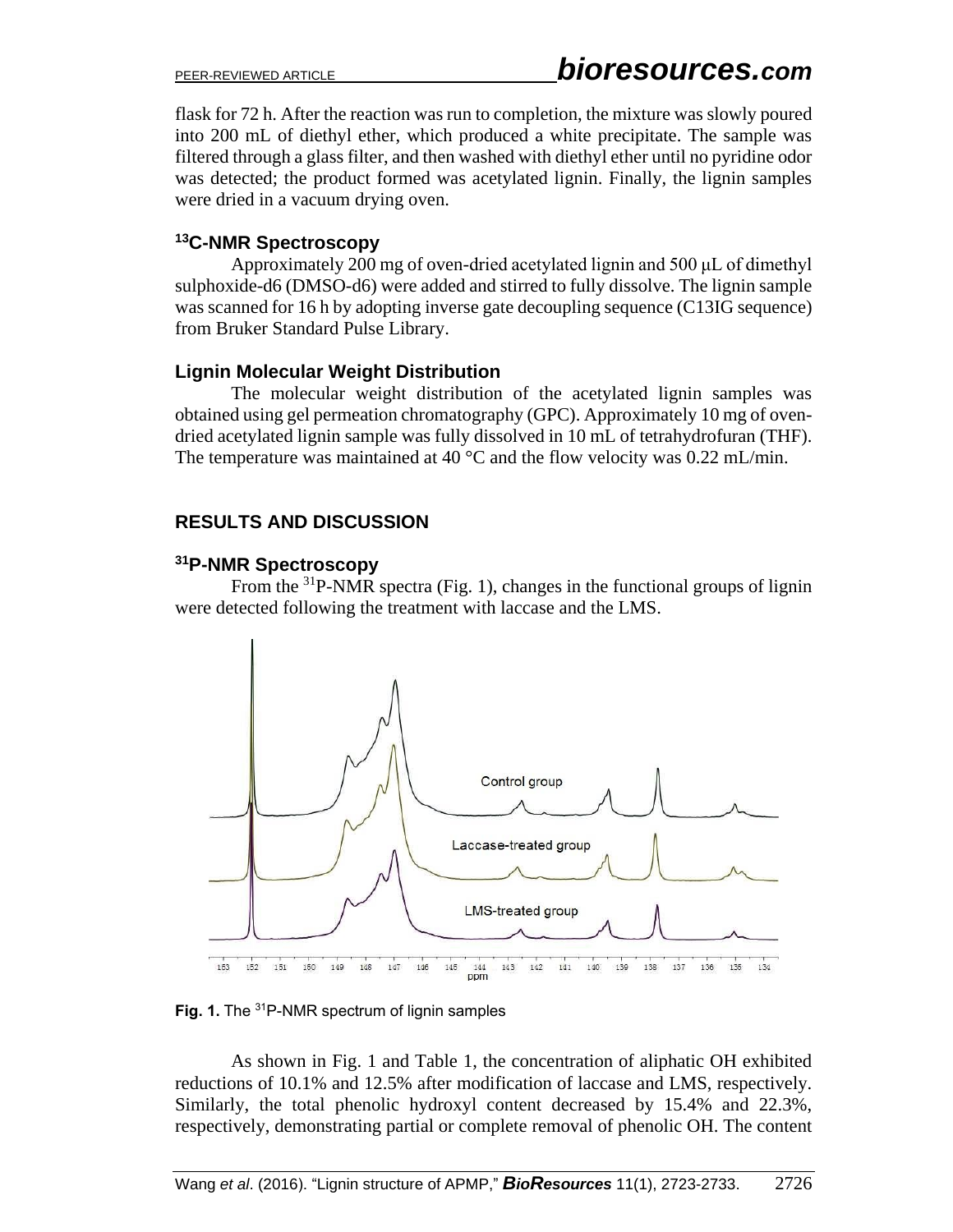flask for 72 h. After the reaction was run to completion, the mixture was slowly poured into 200 mL of diethyl ether, which produced a white precipitate. The sample was filtered through a glass filter, and then washed with diethyl ether until no pyridine odor was detected; the product formed was acetylated lignin. Finally, the lignin samples were dried in a vacuum drying oven.

## **<sup>13</sup>C-NMR Spectroscopy**

Approximately 200 mg of oven-dried acetylated lignin and 500 μL of dimethyl sulphoxide-d6 (DMSO-d6) were added and stirred to fully dissolve. The lignin sample was scanned for 16 h by adopting inverse gate decoupling sequence (C13IG sequence) from Bruker Standard Pulse Library.

## **Lignin Molecular Weight Distribution**

The molecular weight distribution of the acetylated lignin samples was obtained using gel permeation chromatography (GPC). Approximately 10 mg of ovendried acetylated lignin sample was fully dissolved in 10 mL of tetrahydrofuran (THF). The temperature was maintained at 40 °C and the flow velocity was 0.22 mL/min.

## **RESULTS AND DISCUSSION**

#### **<sup>31</sup>P-NMR Spectroscopy**

From the <sup>31</sup>P-NMR spectra (Fig. 1), changes in the functional groups of lignin were detected following the treatment with laccase and the LMS.



**Fig. 1.** The <sup>31</sup>P-NMR spectrum of lignin samples

As shown in Fig. 1 and Table 1, the concentration of aliphatic OH exhibited reductions of 10.1% and 12.5% after modification of laccase and LMS, respectively. Similarly, the total phenolic hydroxyl content decreased by 15.4% and 22.3%, respectively, demonstrating partial or complete removal of phenolic OH. The content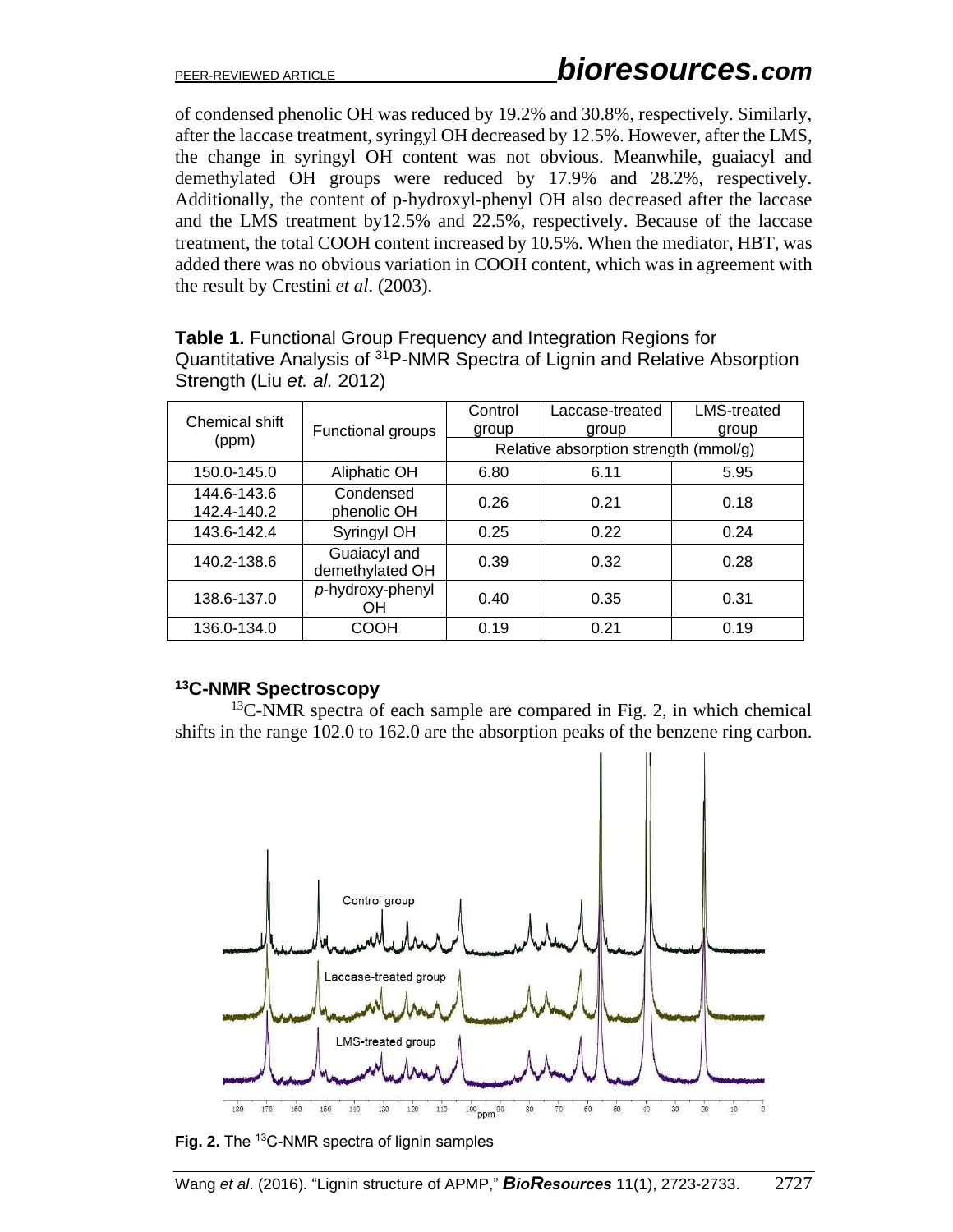of condensed phenolic OH was reduced by 19.2% and 30.8%, respectively. Similarly, after the laccase treatment, syringyl OH decreased by 12.5%. However, after the LMS, the change in syringyl OH content was not obvious. Meanwhile, guaiacyl and demethylated OH groups were reduced by 17.9% and 28.2%, respectively. Additionally, the content of p-hydroxyl-phenyl OH also decreased after the laccase and the LMS treatment by12.5% and 22.5%, respectively. Because of the laccase treatment, the total COOH content increased by 10.5%. When the mediator, HBT, was added there was no obvious variation in COOH content, which was in agreement with the result by Crestini *et al*. (2003).

| Chemical shift             | Functional groups               | Control                               | Laccase-treated | <b>LMS-treated</b> |
|----------------------------|---------------------------------|---------------------------------------|-----------------|--------------------|
|                            |                                 | group                                 | group           | group              |
| (ppm)                      |                                 | Relative absorption strength (mmol/g) |                 |                    |
| 150.0-145.0                | Aliphatic OH                    | 6.80                                  | 6.11            | 5.95               |
| 144.6-143.6<br>142.4-140.2 | Condensed<br>phenolic OH        | 0.26                                  | 0.21            | 0.18               |
| 143.6-142.4                | Syringyl OH                     | 0.25                                  | 0.22            | 0.24               |
| 140.2-138.6                | Guaiacyl and<br>demethylated OH | 0.39                                  | 0.32            | 0.28               |
| 138.6-137.0                | p-hydroxy-phenyl<br>OН          | 0.40                                  | 0.35            | 0.31               |
| 136.0-134.0                | соон                            | 0.19                                  | 0.21            | 0.19               |

**Table 1.** Functional Group Frequency and Integration Regions for Quantitative Analysis of <sup>31</sup>P-NMR Spectra of Lignin and Relative Absorption Strength (Liu *et. al.* 2012)

## **<sup>13</sup>C-NMR Spectroscopy**

 $13$ C-NMR spectra of each sample are compared in Fig. 2, in which chemical shifts in the range 102.0 to 162.0 are the absorption peaks of the benzene ring carbon.



**Fig. 2.** The <sup>13</sup>C-NMR spectra of lignin samples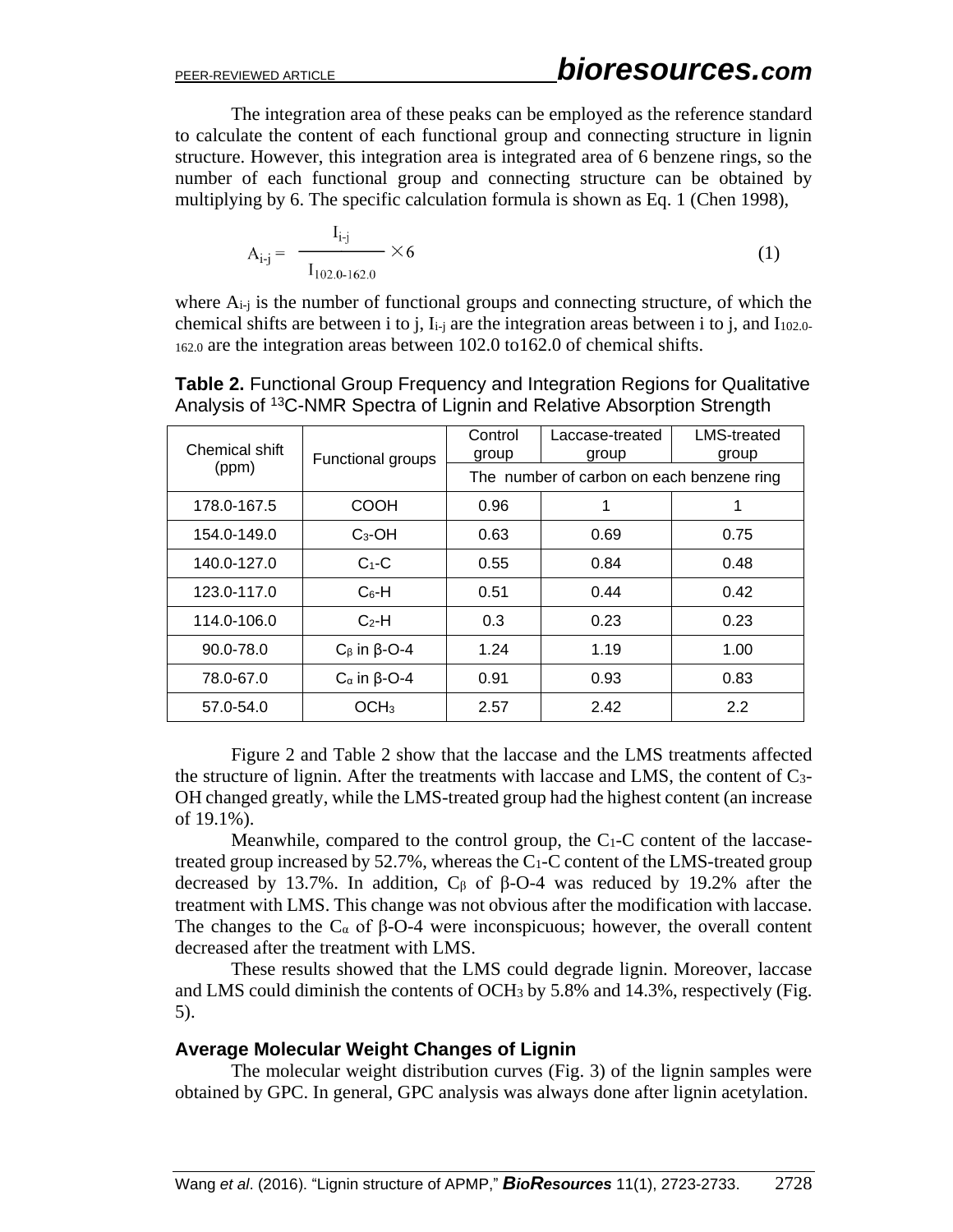The integration area of these peaks can be employed as the reference standard to calculate the content of each functional group and connecting structure in lignin structure. However, this integration area is integrated area of 6 benzene rings, so the number of each functional group and connecting structure can be obtained by multiplying by 6. The specific calculation formula is shown as Eq. 1 (Chen 1998),

$$
A_{i-j} = \frac{I_{i-j}}{I_{102.0-162.0}} \times 6
$$
 (1)

where  $A_{i-j}$  is the number of functional groups and connecting structure, of which the chemical shifts are between i to j,  $I_{i-j}$  are the integration areas between i to j, and  $I_{102.0}$ 162.0 are the integration areas between 102.0 to162.0 of chemical shifts.

| Chemical shift<br>(ppm) | Functional groups            | Control<br>group                          | Laccase-treated<br>group | <b>LMS-treated</b><br>group |
|-------------------------|------------------------------|-------------------------------------------|--------------------------|-----------------------------|
|                         |                              | The number of carbon on each benzene ring |                          |                             |
| 178.0-167.5             | COOH                         | 0.96                                      |                          |                             |
| 154.0-149.0             | $C_3$ -OH                    | 0.63                                      | 0.69                     | 0.75                        |
| 140.0-127.0             | $C_1-C$                      | 0.55                                      | 0.84                     | 0.48                        |
| 123.0-117.0             | $C_6$ -H                     | 0.51                                      | 0.44                     | 0.42                        |
| 114.0-106.0             | $C2$ -H                      | 0.3                                       | 0.23                     | 0.23                        |
| 90.0-78.0               | $C_{\beta}$ in $\beta$ -O-4  | 1.24                                      | 1.19                     | 1.00                        |
| 78.0-67.0               | $C_{\alpha}$ in $\beta$ -O-4 | 0.91                                      | 0.93                     | 0.83                        |
| 57.0-54.0               | OCH <sub>3</sub>             | 2.57                                      | 2.42                     | 2.2                         |

**Table 2.** Functional Group Frequency and Integration Regions for Qualitative Analysis of <sup>13</sup>C-NMR Spectra of Lignin and Relative Absorption Strength

Figure 2 and Table 2 show that the laccase and the LMS treatments affected the structure of lignin. After the treatments with laccase and LMS, the content of C3- OH changed greatly, while the LMS-treated group had the highest content (an increase of 19.1%).

Meanwhile, compared to the control group, the C1-C content of the laccasetreated group increased by  $52.7\%$ , whereas the C<sub>1</sub>-C content of the LMS-treated group decreased by 13.7%. In addition,  $C_{\beta}$  of β-O-4 was reduced by 19.2% after the treatment with LMS. This change was not obvious after the modification with laccase. The changes to the  $C_{\alpha}$  of  $\beta$ -O-4 were inconspicuous; however, the overall content decreased after the treatment with LMS.

These results showed that the LMS could degrade lignin. Moreover, laccase and LMS could diminish the contents of OCH<sup>3</sup> by 5.8% and 14.3%, respectively (Fig. 5).

#### **Average Molecular Weight Changes of Lignin**

The molecular weight distribution curves (Fig. 3) of the lignin samples were obtained by GPC. In general, GPC analysis was always done after lignin acetylation.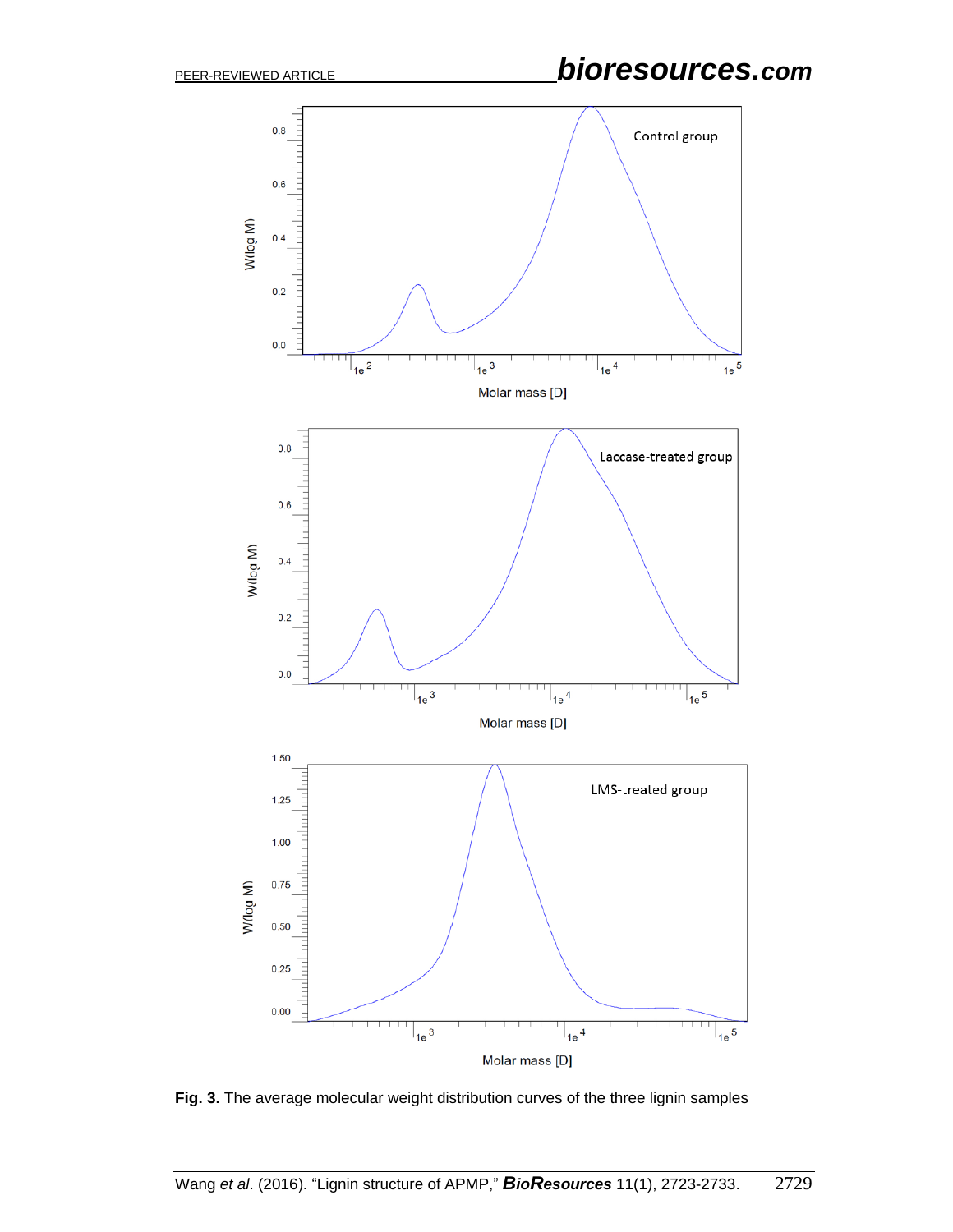# PEER-REVIEWED ARTICLE *bioresources.com*



**Fig. 3.** The average molecular weight distribution curves of the three lignin samples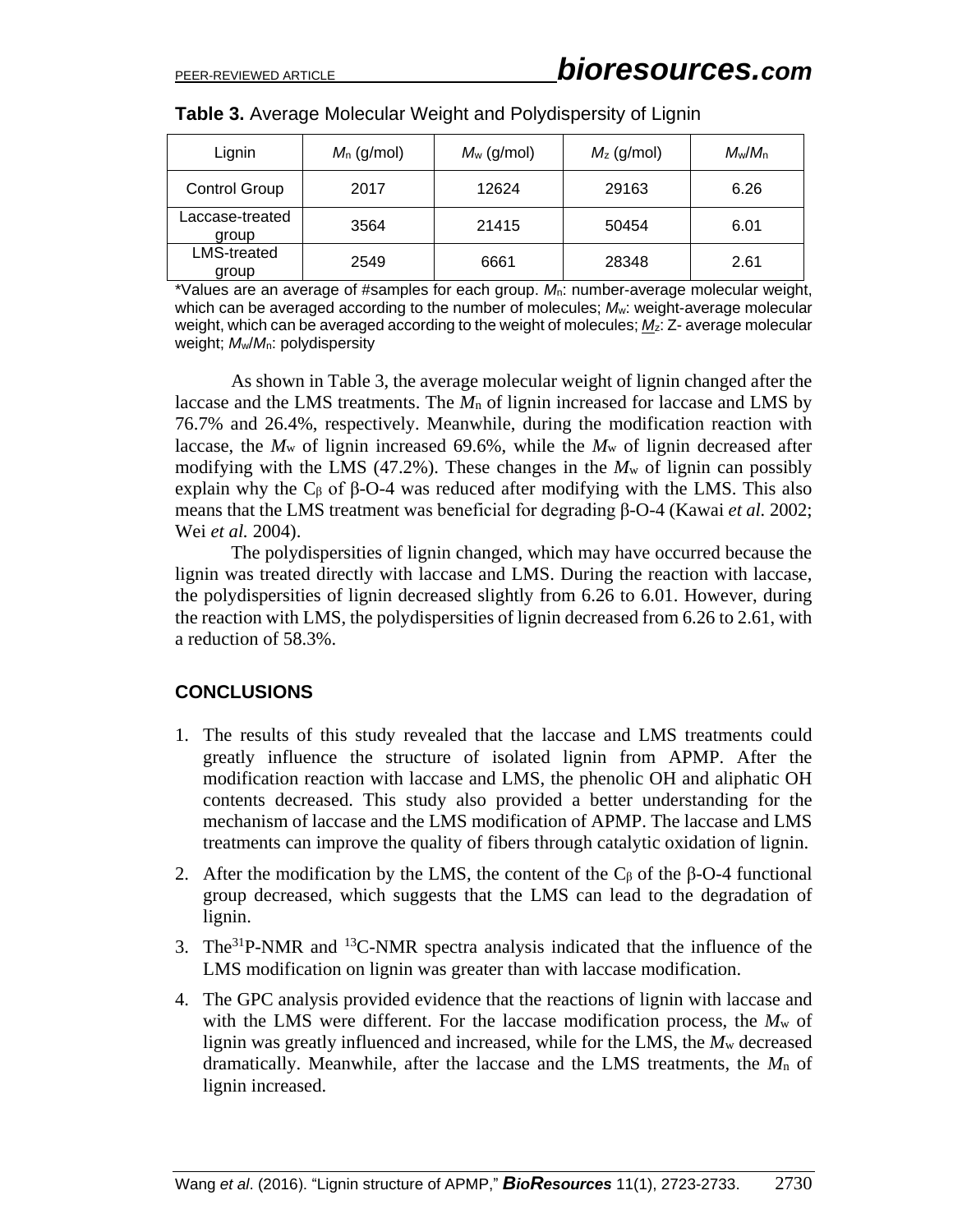| Lignin                   | $M_n$ (g/mol) | $M_w$ (g/mol) | $M_z$ (g/mol) | $M_w/M_n$ |
|--------------------------|---------------|---------------|---------------|-----------|
| <b>Control Group</b>     | 2017          | 12624         | 29163         | 6.26      |
| Laccase-treated<br>group | 3564          | 21415         | 50454         | 6.01      |
| LMS-treated<br>group     | 2549          | 6661          | 28348         | 2.61      |

| Table 3. Average Molecular Weight and Polydispersity of Lignin |  |  |  |
|----------------------------------------------------------------|--|--|--|
|                                                                |  |  |  |

\*Values are an average of #samples for each group. *M*n: number-average molecular weight, which can be averaged according to the number of molecules; *M*w: weight-average molecular weight, which can be averaged according to the weight of molecules; *M*z: Z- average molecular weight; *M*w/*M*n: polydispersity

As shown in Table 3, the average molecular weight of lignin changed after the laccase and the LMS treatments. The *M*<sup>n</sup> of lignin increased for laccase and LMS by 76.7% and 26.4%, respectively. Meanwhile, during the modification reaction with laccase, the  $M_w$  of lignin increased 69.6%, while the  $M_w$  of lignin decreased after modifying with the LMS (47.2%). These changes in the  $M_w$  of lignin can possibly explain why the  $C_\beta$  of  $\beta$ -O-4 was reduced after modifying with the LMS. This also means that the LMS treatment was beneficial for degrading β-O-4 (Kawai *et al.* 2002; Wei *et al.* 2004).

The polydispersities of lignin changed, which may have occurred because the lignin was treated directly with laccase and LMS. During the reaction with laccase, the polydispersities of lignin decreased slightly from 6.26 to 6.01. However, during the reaction with LMS, the polydispersities of lignin decreased from 6.26 to 2.61, with a reduction of 58.3%.

#### **CONCLUSIONS**

- 1. The results of this study revealed that the laccase and LMS treatments could greatly influence the structure of isolated lignin from APMP. After the modification reaction with laccase and LMS, the phenolic OH and aliphatic OH contents decreased. This study also provided a better understanding for the mechanism of laccase and the LMS modification of APMP. The laccase and LMS treatments can improve the quality of fibers through catalytic oxidation of lignin.
- 2. After the modification by the LMS, the content of the  $C_{\beta}$  of the  $\beta$ -O-4 functional group decreased, which suggests that the LMS can lead to the degradation of lignin.
- 3. The<sup>31</sup>P-NMR and <sup>13</sup>C-NMR spectra analysis indicated that the influence of the LMS modification on lignin was greater than with laccase modification.
- 4. The GPC analysis provided evidence that the reactions of lignin with laccase and with the LMS were different. For the laccase modification process, the *M*<sup>w</sup> of lignin was greatly influenced and increased, while for the LMS, the *M*<sup>w</sup> decreased dramatically. Meanwhile, after the laccase and the LMS treatments, the *M*<sup>n</sup> of lignin increased.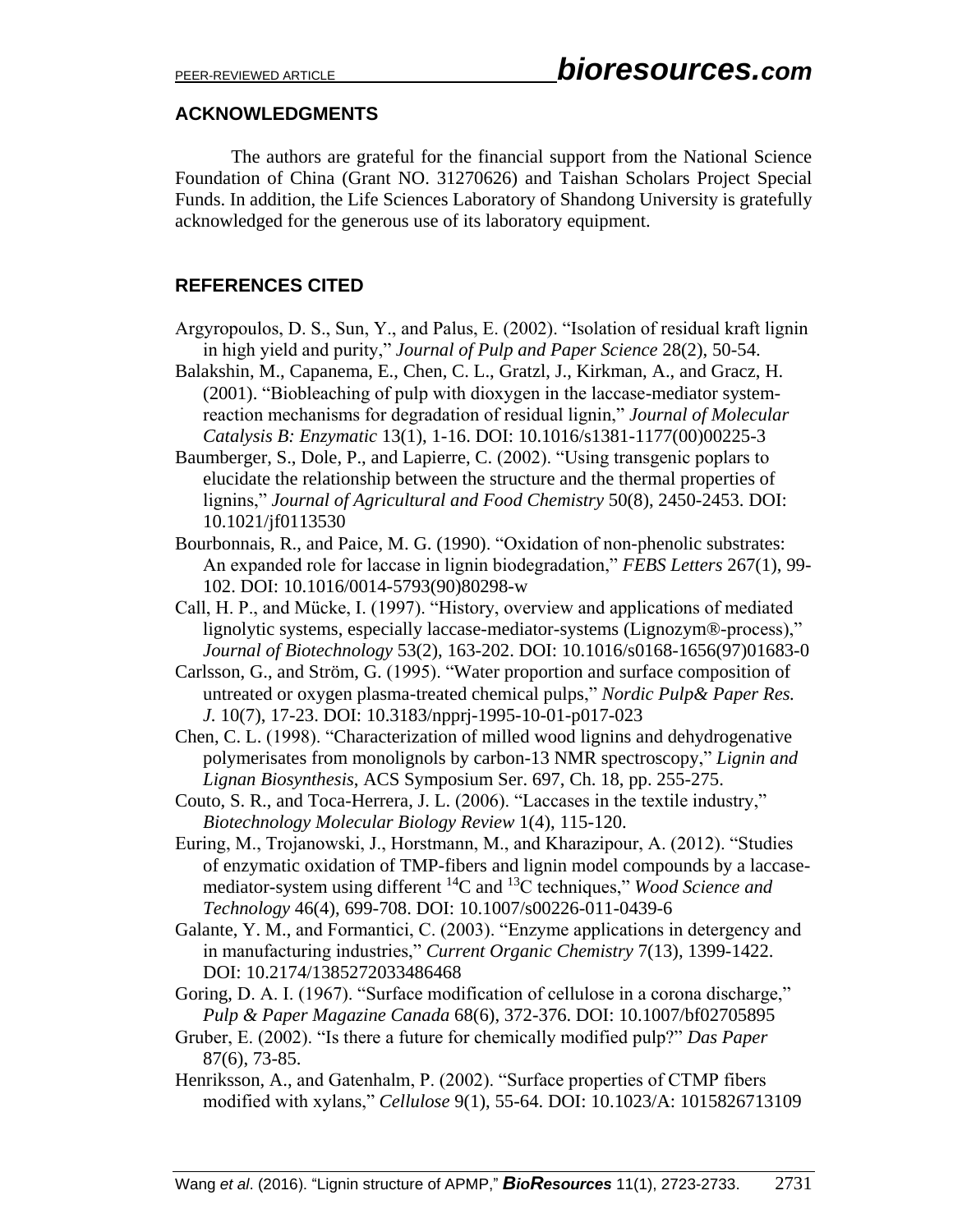#### **ACKNOWLEDGMENTS**

The authors are grateful for the financial support from the National Science Foundation of China (Grant NO. 31270626) and Taishan Scholars Project Special Funds. In addition, the Life Sciences Laboratory of Shandong University is gratefully acknowledged for the generous use of its laboratory equipment.

## **REFERENCES CITED**

- Argyropoulos, D. S., Sun, Y., and Palus, E. (2002). "Isolation of residual kraft lignin in high yield and purity," *Journal of Pulp and Paper Science* 28(2), 50-54.
- Balakshin, M., Capanema, E., Chen, C. L., Gratzl, J., Kirkman, A., and Gracz, H. (2001). "Biobleaching of pulp with dioxygen in the laccase-mediator systemreaction mechanisms for degradation of residual lignin," *Journal of Molecular Catalysis B: Enzymatic* 13(1), 1-16. DOI: 10.1016/s1381-1177(00)00225-3
- Baumberger, S., Dole, P., and Lapierre, C. (2002). "Using transgenic poplars to elucidate the relationship between the structure and the thermal properties of lignins," *Journal of Agricultural and Food Chemistry* 50(8), 2450-2453. DOI: 10.1021/jf0113530
- Bourbonnais, R., and Paice, M. G. (1990). "Oxidation of non-phenolic substrates: An expanded role for laccase in lignin biodegradation," *FEBS Letters* 267(1), 99- 102. DOI: 10.1016/0014-5793(90)80298-w
- Call, H. P., and Mücke, I. (1997). "History, overview and applications of mediated lignolytic systems, especially laccase-mediator-systems (Lignozym®-process)," *Journal of Biotechnology* 53(2), 163-202. DOI: 10.1016/s0168-1656(97)01683-0
- Carlsson, G., and Ström, G. (1995). "Water proportion and surface composition of untreated or oxygen plasma-treated chemical pulps," *Nordic Pulp& Paper Res. J.* 10(7), 17-23. DOI: 10.3183/npprj-1995-10-01-p017-023
- Chen, C. L. (1998). "Characterization of milled wood lignins and dehydrogenative polymerisates from monolignols by carbon-13 NMR spectroscopy," *Lignin and Lignan Biosynthesis*, ACS Symposium Ser. 697, Ch. 18, pp. 255-275.
- Couto, S. R., and Toca-Herrera, J. L. (2006). "Laccases in the textile industry," *Biotechnology Molecular Biology Review* 1(4), 115-120.
- Euring, M., Trojanowski, J., Horstmann, M., and Kharazipour, A. (2012). "Studies of enzymatic oxidation of TMP-fibers and lignin model compounds by a laccasemediator-system using different <sup>14</sup>C and <sup>13</sup>C techniques," *Wood Science and Technology* 46(4), 699-708. DOI: 10.1007/s00226-011-0439-6
- Galante, Y. M., and Formantici, C. (2003). "Enzyme applications in detergency and in manufacturing industries," *Current Organic Chemistry* 7(13), 1399-1422. DOI: 10.2174/1385272033486468
- Goring, D. A. I. (1967). "Surface modification of cellulose in a corona discharge," *Pulp & Paper Magazine Canada* 68(6), 372-376. DOI: 10.1007/bf02705895
- Gruber, E. (2002). "Is there a future for chemically modified pulp?" *Das Paper* 87(6), 73-85.
- Henriksson, A., and Gatenhalm, P. (2002). "Surface properties of CTMP fibers modified with xylans," *Cellulose* 9(1), 55-64. DOI: 10.1023/A: 1015826713109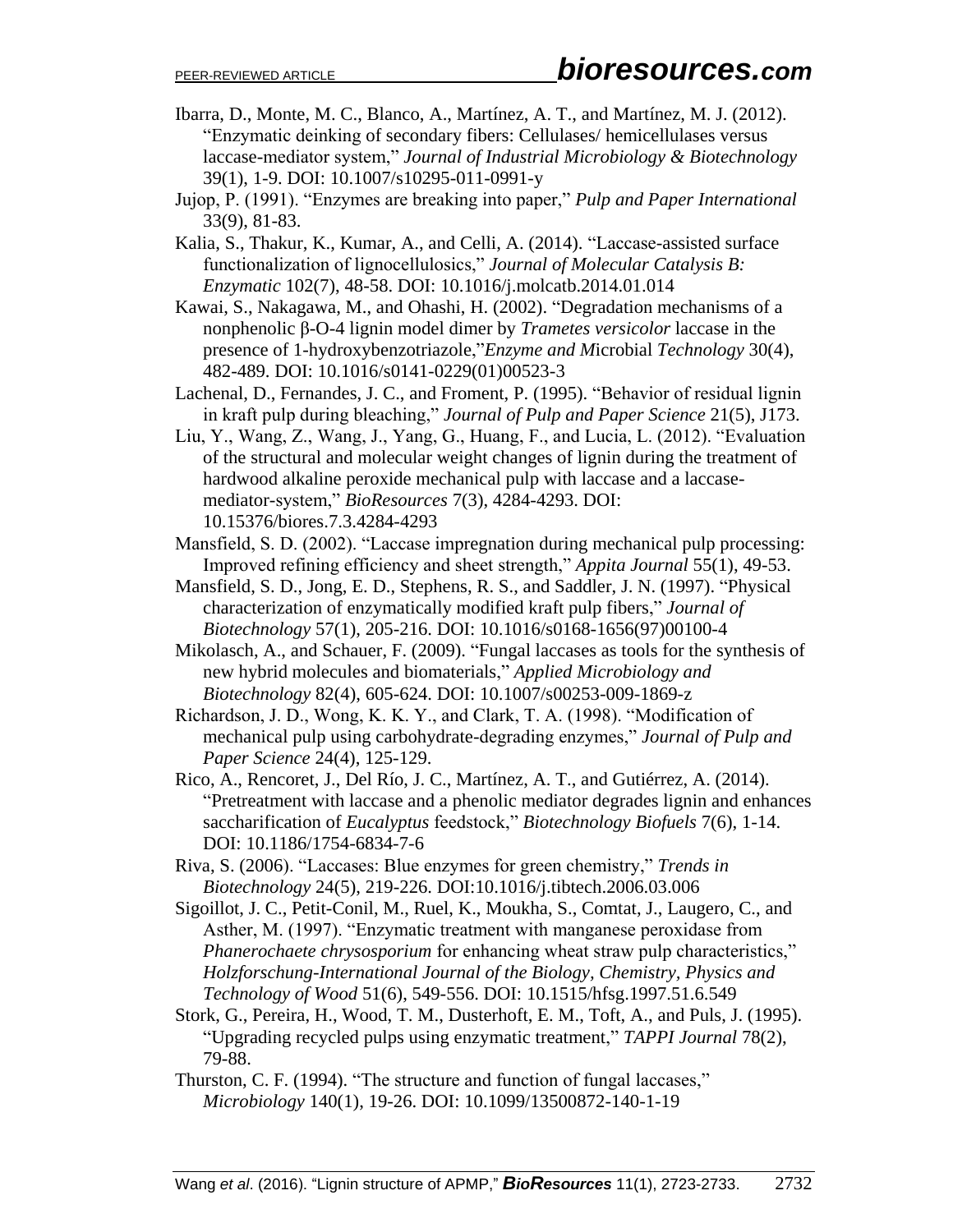- Ibarra, D., Monte, M. C., Blanco, A., Martínez, A. T., and Martínez, M. J. (2012). "Enzymatic deinking of secondary fibers: Cellulases/ hemicellulases versus laccase-mediator system," *Journal of Industrial Microbiology & Biotechnology* 39(1), 1-9. DOI: 10.1007/s10295-011-0991-y
- Jujop, P. (1991). "Enzymes are breaking into paper," *Pulp and Paper International* 33(9), 81-83.
- Kalia, S., Thakur, K., Kumar, A., and Celli, A. (2014). "Laccase-assisted surface functionalization of lignocellulosics," *Journal of Molecular Catalysis B: Enzymatic* 102(7), 48-58. DOI: 10.1016/j.molcatb.2014.01.014
- Kawai, S., Nakagawa, M., and Ohashi, H. (2002). "Degradation mechanisms of a nonphenolic β-O-4 lignin model dimer by *Trametes versicolor* laccase in the presence of 1-hydroxybenzotriazole,"*Enzyme and M*icrobial *Technology* 30(4), 482-489. DOI: 10.1016/s0141-0229(01)00523-3
- Lachenal, D., Fernandes, J. C., and Froment, P. (1995). "Behavior of residual lignin in kraft pulp during bleaching," *Journal of Pulp and Paper Science* 21(5), J173.
- Liu, Y., Wang, Z., Wang, J., Yang, G., Huang, F., and Lucia, L. (2012). "Evaluation of the structural and molecular weight changes of lignin during the treatment of hardwood alkaline peroxide mechanical pulp with laccase and a laccasemediator-system," *BioResources* 7(3), 4284-4293. DOI: 10.15376/biores.7.3.4284-4293
- Mansfield, S. D. (2002). "Laccase impregnation during mechanical pulp processing: Improved refining efficiency and sheet strength," *Appita Journal* 55(1), 49-53.
- Mansfield, S. D., Jong, E. D., Stephens, R. S., and Saddler, J. N. (1997). "Physical characterization of enzymatically modified kraft pulp fibers," *Journal of Biotechnology* 57(1), 205-216. DOI: 10.1016/s0168-1656(97)00100-4
- Mikolasch, A., and Schauer, F. (2009). "Fungal laccases as tools for the synthesis of new hybrid molecules and biomaterials," *Applied Microbiology and Biotechnology* 82(4), 605-624. DOI: 10.1007/s00253-009-1869-z
- Richardson, J. D., Wong, K. K. Y., and Clark, T. A. (1998). "Modification of mechanical pulp using carbohydrate-degrading enzymes," *Journal of Pulp and Paper Science* 24(4), 125-129.
- Rico, A., Rencoret, J., Del Río, J. C., Martínez, A. T., and Gutiérrez, A. (2014). "Pretreatment with laccase and a phenolic mediator degrades lignin and enhances saccharification of *Eucalyptus* feedstock," *Biotechnology Biofuels* 7(6), 1-14. DOI: 10.1186/1754-6834-7-6
- Riva, S. (2006). "Laccases: Blue enzymes for green chemistry," *Trends in Biotechnology* 24(5), 219-226. DOI[:10.1016/j.tibtech.2006.03.006](http://dx.doi.org/10.1016/j.tibtech.2006.03.006)
- Sigoillot, J. C., Petit-Conil, M., Ruel, K., Moukha, S., Comtat, J., Laugero, C., and Asther, M. (1997). "Enzymatic treatment with manganese peroxidase from *Phanerochaete chrysosporium* for enhancing wheat straw pulp characteristics," *Holzforschung-International Journal of the Biology, Chemistry, Physics and Technology of Wood* 51(6), 549-556. DOI: 10.1515/hfsg.1997.51.6.549
- Stork, G., Pereira, H., Wood, T. M., Dusterhoft, E. M., Toft, A., and Puls, J. (1995). "Upgrading recycled pulps using enzymatic treatment," *TAPPI Journal* 78(2), 79-88.
- Thurston, C. F. (1994). "The structure and function of fungal laccases," *Microbiology* 140(1), 19-26. DOI: 10.1099/13500872-140-1-19